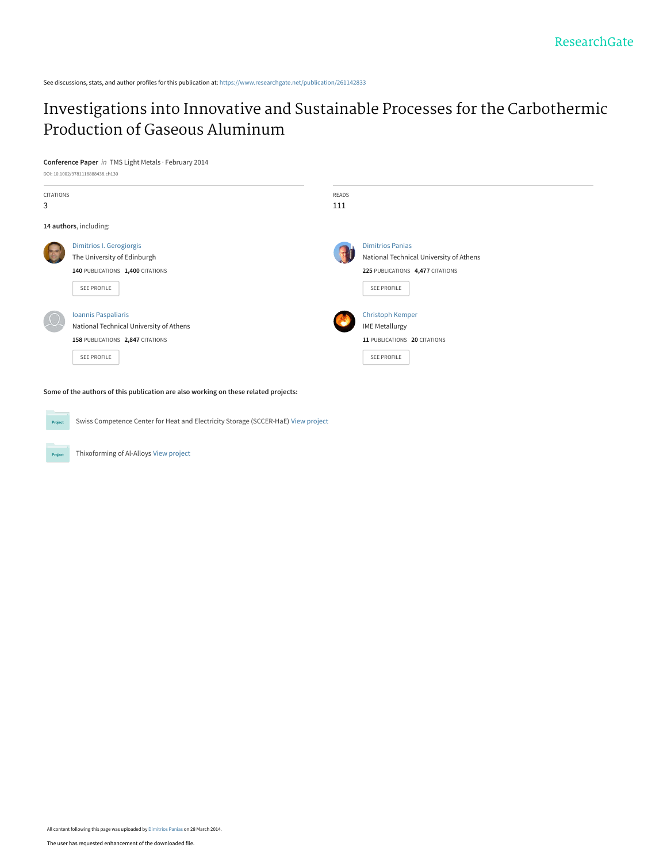See discussions, stats, and author profiles for this publication at: [https://www.researchgate.net/publication/261142833](https://www.researchgate.net/publication/261142833_Investigations_into_Innovative_and_Sustainable_Processes_for_the_Carbothermic_Production_of_Gaseous_Aluminum?enrichId=rgreq-0df82424442ff875d8ad4f9a5ee67fb9-XXX&enrichSource=Y292ZXJQYWdlOzI2MTE0MjgzMztBUzoxMDQ1NjY5MjIxNTQwMDJAMTQwMTk0MjEwNjExOA%3D%3D&el=1_x_2&_esc=publicationCoverPdf)

# [Investigations into Innovative and Sustainable Processes for the Carbothermic](https://www.researchgate.net/publication/261142833_Investigations_into_Innovative_and_Sustainable_Processes_for_the_Carbothermic_Production_of_Gaseous_Aluminum?enrichId=rgreq-0df82424442ff875d8ad4f9a5ee67fb9-XXX&enrichSource=Y292ZXJQYWdlOzI2MTE0MjgzMztBUzoxMDQ1NjY5MjIxNTQwMDJAMTQwMTk0MjEwNjExOA%3D%3D&el=1_x_3&_esc=publicationCoverPdf) Production of Gaseous Aluminum

## **Conference Paper** in TMS Light Metals · February 2014



**Some of the authors of this publication are also working on these related projects:**

Swiss Competence Center for Heat and Electricity Storage (SCCER-HaE) [View project](https://www.researchgate.net/project/Swiss-Competence-Center-for-Heat-and-Electricity-Storage-SCCER-HaE?enrichId=rgreq-0df82424442ff875d8ad4f9a5ee67fb9-XXX&enrichSource=Y292ZXJQYWdlOzI2MTE0MjgzMztBUzoxMDQ1NjY5MjIxNTQwMDJAMTQwMTk0MjEwNjExOA%3D%3D&el=1_x_9&_esc=publicationCoverPdf) Project

Thixoforming of Al-Alloys [View project](https://www.researchgate.net/project/Thixoforming-of-Al-Alloys?enrichId=rgreq-0df82424442ff875d8ad4f9a5ee67fb9-XXX&enrichSource=Y292ZXJQYWdlOzI2MTE0MjgzMztBUzoxMDQ1NjY5MjIxNTQwMDJAMTQwMTk0MjEwNjExOA%3D%3D&el=1_x_9&_esc=publicationCoverPdf)

Project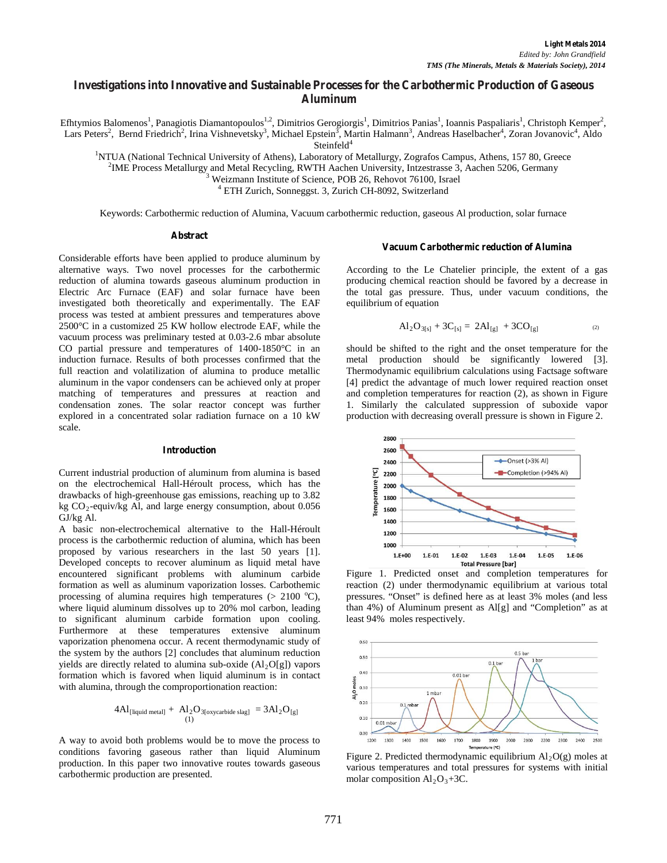# **Investigations into Innovative and Sustainable Processes for the Carbothermic Production of Gaseous Aluminum**

Efhtymios Balomenos<sup>1</sup>, Panagiotis Diamantopoulos<sup>1,2</sup>, Dimitrios Gerogiorgis<sup>1</sup>, Dimitrios Panias<sup>1</sup>, Ioannis Paspaliaris<sup>1</sup>, Christoph Kemper<sup>2</sup>, Lars Peters<sup>2</sup>, Bernd Friedrich<sup>2</sup>, Irina Vishnevetsky<sup>3</sup>, Michael Epstein<sup>3</sup>, Martin Halmann<sup>3</sup>, Andreas Haselbacher<sup>4</sup>, Zoran Jovanovic<sup>4</sup>, Aldo Steinfeld<sup>4</sup> Steinfeld<sup>4</sup><br><sup>1</sup>NTILA (Netional Technical University of Athens) Leheratory of

NTUA (National Technical University of Athens), Laboratory of Metallurgy, Zografos Campus, Athens, 157 80, Greece <sup>2</sup>NME Process Metallurgy and Metal Peoveling, PWTH Aschen University Intrastrasse 3, Aschen 5206, Germany

<sup>2</sup>IME Process Metallurgy and Metal Recycling, RWTH Aachen University, Intzestrasse 3, Aachen 5206, Germany <sup>3</sup> Weizmann Institute of Science, POB 26, Rehovot 76100, Israel

<sup>4</sup> ETH Zurich, Sonneggst. 3, Zurich CH-8092, Switzerland

Keywords: Carbothermic reduction of Alumina, Vacuum carbothermic reduction, gaseous Al production, solar furnace

#### **Abstract**

Considerable efforts have been applied to produce aluminum by alternative ways. Two novel processes for the carbothermic reduction of alumina towards gaseous aluminum production in Electric Arc Furnace (EAF) and solar furnace have been investigated both theoretically and experimentally. The EAF process was tested at ambient pressures and temperatures above 2500°C in a customized 25 KW hollow electrode EAF, while the vacuum process was preliminary tested at 0.03-2.6 mbar absolute CO partial pressure and temperatures of 1400-1850°C in an induction furnace. Results of both processes confirmed that the full reaction and volatilization of alumina to produce metallic aluminum in the vapor condensers can be achieved only at proper matching of temperatures and pressures at reaction and condensation zones. The solar reactor concept was further explored in a concentrated solar radiation furnace on a 10 kW scale.

## **Introduction**

Current industrial production of aluminum from alumina is based on the electrochemical Hall-Héroult process, which has the drawbacks of high-greenhouse gas emissions, reaching up to 3.82 kg  $CO_2$ -equiv/kg Al, and large energy consumption, about 0.056 GJ/kg Al.

A basic non-electrochemical alternative to the Hall-Héroult process is the carbothermic reduction of alumina, which has been proposed by various researchers in the last 50 years [1]. Developed concepts to recover aluminum as liquid metal have encountered significant problems with aluminum carbide formation as well as aluminum vaporization losses. Carbothemic processing of alumina requires high temperatures  $(> 2100 °C)$ , where liquid aluminum dissolves up to 20% mol carbon, leading to significant aluminum carbide formation upon cooling. Furthermore at these temperatures extensive aluminum vaporization phenomena occur. A recent thermodynamic study of the system by the authors [2] concludes that aluminum reduction yields are directly related to alumina sub-oxide  $(A1_2O[g])$  vapors formation which is favored when liquid aluminum is in contact with alumina, through the comproportionation reaction:

$$
4Al_{[liquid metal]} + Al_2O_{3[oxycarbide slag]} = 3Al_2O_{[g]}
$$

A way to avoid both problems would be to move the process to conditions favoring gaseous rather than liquid Aluminum production. In this paper two innovative routes towards gaseous carbothermic production are presented.

#### **Vacuum Carbothermic reduction of Alumina**

According to the Le Chatelier principle, the extent of a gas producing chemical reaction should be favored by a decrease in the total gas pressure. Thus, under vacuum conditions, the equilibrium of equation

$$
Al_2O_{3[s]} + 3C_{[s]} = 2Al_{[g]} + 3CO_{[g]}
$$
 (2)

should be shifted to the right and the onset temperature for the metal production should be significantly lowered [3]. Thermodynamic equilibrium calculations using Factsage software [4] predict the advantage of much lower required reaction onset and completion temperatures for reaction (2), as shown in Figure 1. Similarly the calculated suppression of suboxide vapor production with decreasing overall pressure is shown in Figure 2.



Figure 1. Predicted onset and completion temperatures for reaction (2) under thermodynamic equilibrium at various total pressures. "Onset" is defined here as at least 3% moles (and less than 4%) of Aluminum present as Al[g] and "Completion" as at least 94% moles respectively.



Figure 2. Predicted thermodynamic equilibrium  $Al_2O(g)$  moles at various temperatures and total pressures for systems with initial molar composition  $Al_2O_3+3C$ .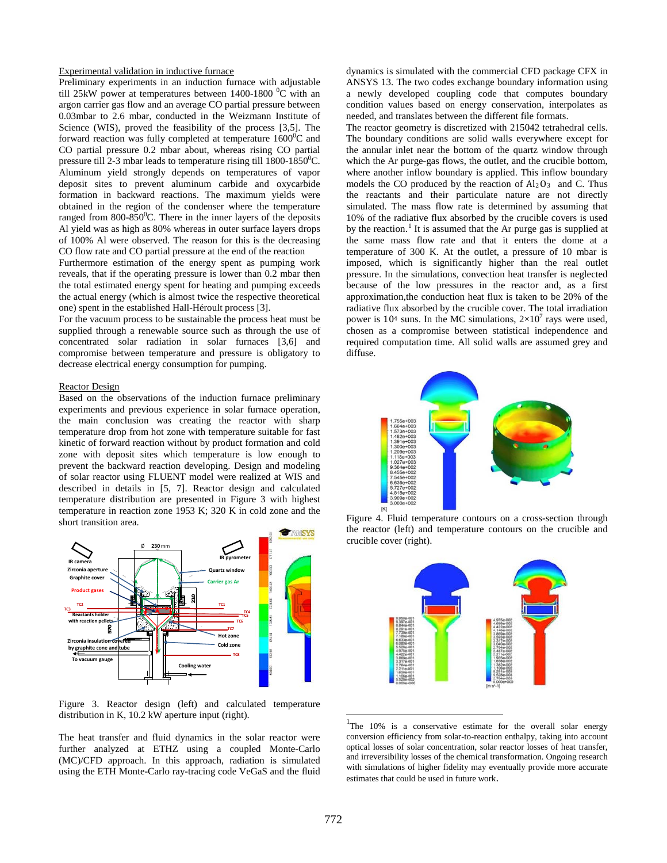# Experimental validation in inductive furnace

Preliminary experiments in an induction furnace with adjustable till 25kW power at temperatures between 1400-1800  $^0C$  with an argon carrier gas flow and an average CO partial pressure between 0.03mbar to 2.6 mbar, conducted in the Weizmann Institute of Science (WIS), proved the feasibility of the process [3,5]. The forward reaction was fully completed at temperature  $1600^0C$  and CO partial pressure 0.2 mbar about, whereas rising CO partial pressure till 2-3 mbar leads to temperature rising till  $1800-1850^{\circ}$ C. Aluminum yield strongly depends on temperatures of vapor deposit sites to prevent aluminum carbide and oxycarbide formation in backward reactions. The maximum yields were obtained in the region of the condenser where the temperature ranged from 800-850 $\mathrm{^0C}$ . There in the inner layers of the deposits Al yield was as high as 80% whereas in outer surface layers drops of 100% Al were observed. The reason for this is the decreasing CO flow rate and CO partial pressure at the end of the reaction

Furthermore estimation of the energy spent as pumping work reveals, that if the operating pressure is lower than 0.2 mbar then the total estimated energy spent for heating and pumping exceeds the actual energy (which is almost twice the respective theoretical one) spent in the established Hall-Héroult process [3].

For the vacuum process to be sustainable the process heat must be supplied through a renewable source such as through the use of concentrated solar radiation in solar furnaces [3,6] and compromise between temperature and pressure is obligatory to decrease electrical energy consumption for pumping.

#### Reactor Design

Based on the observations of the induction furnace preliminary experiments and previous experience in solar furnace operation, the main conclusion was creating the reactor with sharp temperature drop from hot zone with temperature suitable for fast kinetic of forward reaction without by product formation and cold zone with deposit sites which temperature is low enough to prevent the backward reaction developing. Design and modeling of solar reactor using FLUENT model were realized at WIS and described in details in [5, 7]. Reactor design and calculated temperature distribution are presented in Figure 3 with highest temperature in reaction zone 1953 K; 320 K in cold zone and the short transition area.



Figure 3. Reactor design (left) and calculated temperature distribution in K, 10.2 kW aperture input (right).

<span id="page-2-0"></span>The heat transfer and fluid dynamics in the solar reactor were further analyzed at ETHZ using a coupled Monte-Carlo (MC)/CFD approach. In this approach, radiation is simulated using the ETH Monte-Carlo ray-tracing code VeGaS and the fluid

dynamics is simulated with the commercial CFD package CFX in ANSYS 13. The two codes exchange boundary information using a newly developed coupling code that computes boundary condition values based on energy conservation, interpolates as needed, and translates between the different file formats.

The reactor geometry is discretized with 215042 tetrahedral cells. The boundary conditions are solid walls everywhere except for the annular inlet near the bottom of the quartz window through which the Ar purge-gas flows, the outlet, and the crucible bottom, where another inflow boundary is applied. This inflow boundary models the CO produced by the reaction of  $Al_2O_3$  and C. Thus the reactants and their particulate nature are not directly simulated. The mass flow rate is determined by assuming that 10% of the radiative flux absorbed by the crucible covers is used by the reaction.<sup>[1](#page-2-0)</sup> It is assumed that the Ar purge gas is supplied at the same mass flow rate and that it enters the dome at a temperature of 300 K. At the outlet, a pressure of 10 mbar is imposed, which is significantly higher than the real outlet pressure. In the simulations, convection heat transfer is neglected because of the low pressures in the reactor and, as a first approximation,the conduction heat flux is taken to be 20% of the radiative flux absorbed by the crucible cover. The total irradiation power is 10<sup>4</sup> suns. In the MC simulations,  $2\times10^7$  rays were used, chosen as a compromise between statistical independence and required computation time. All solid walls are assumed grey and diffuse.



Figure 4. Fluid temperature contours on a cross-section through the reactor (left) and temperature contours on the crucible and crucible cover (right).



<sup>1</sup>The 10% is a conservative estimate for the overall solar energy conversion efficiency from solar-to-reaction enthalpy, taking into account optical losses of solar concentration, solar reactor losses of heat transfer, and irreversibility losses of the chemical transformation. Ongoing research with simulations of higher fidelity may eventually provide more accurate estimates that could be used in future work.

j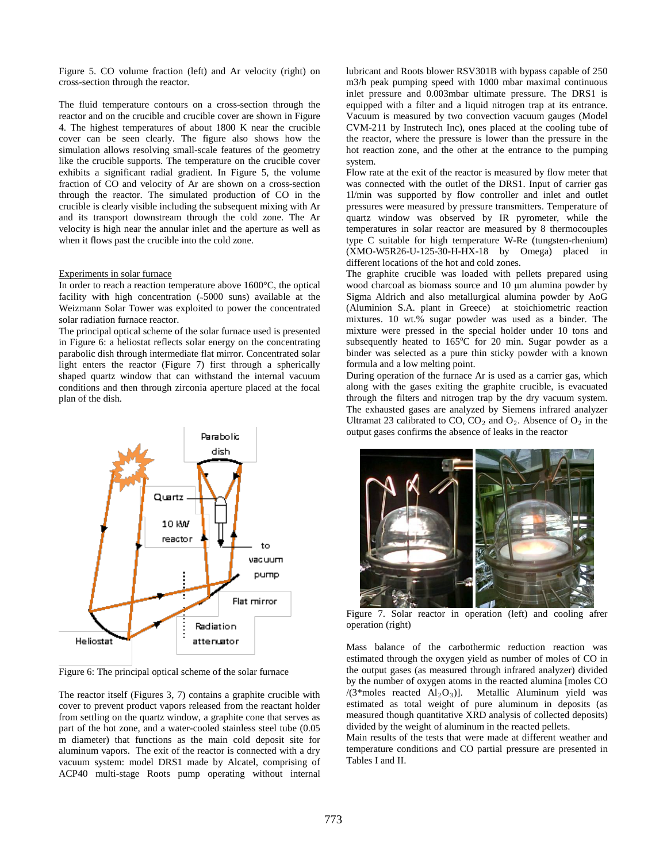Figure 5. CO volume fraction (left) and Ar velocity (right) on cross-section through the reactor.

The fluid temperature contours on a cross-section through the reactor and on the crucible and crucible cover are shown in Figure 4. The highest temperatures of about 1800 K near the crucible cover can be seen clearly. The figure also shows how the simulation allows resolving small-scale features of the geometry like the crucible supports. The temperature on the crucible cover exhibits a significant radial gradient. In Figure 5, the volume fraction of CO and velocity of Ar are shown on a cross-section through the reactor. The simulated production of CO in the crucible is clearly visible including the subsequent mixing with Ar and its transport downstream through the cold zone. The Ar velocity is high near the annular inlet and the aperture as well as when it flows past the crucible into the cold zone.

## Experiments in solar furnace

In order to reach a reaction temperature above 1600°C, the optical facility with high concentration (~5000 suns) available at the Weizmann Solar Tower was exploited to power the concentrated solar radiation furnace reactor.

The principal optical scheme of the solar furnace used is presented in Figure 6: a heliostat reflects solar energy on the concentrating parabolic dish through intermediate flat mirror. Concentrated solar light enters the reactor (Figure 7) first through a spherically shaped quartz window that can withstand the internal vacuum conditions and then through zirconia aperture placed at the focal plan of the dish.



Figure 6: The principal optical scheme of the solar furnace

The reactor itself (Figures 3, 7) contains a graphite crucible with cover to prevent product vapors released from the reactant holder from settling on the quartz window, a graphite cone that serves as part of the hot zone, and a water-cooled stainless steel tube (0.05 m diameter) that functions as the main cold deposit site for aluminum vapors. The exit of the reactor is connected with a dry vacuum system: model DRS1 made by Alcatel, comprising of ACP40 multi-stage Roots pump operating without internal

lubricant and Roots blower RSV301B with bypass capable of 250 m3/h peak pumping speed with 1000 mbar maximal continuous inlet pressure and 0.003mbar ultimate pressure. The DRS1 is equipped with a filter and a liquid nitrogen trap at its entrance. Vacuum is measured by two convection vacuum gauges (Model CVM-211 by Instrutech Inc), ones placed at the cooling tube of the reactor, where the pressure is lower than the pressure in the hot reaction zone, and the other at the entrance to the pumping system.

Flow rate at the exit of the reactor is measured by flow meter that was connected with the outlet of the DRS1. Input of carrier gas 1l/min was supported by flow controller and inlet and outlet pressures were measured by pressure transmitters. Temperature of quartz window was observed by IR pyrometer, while the temperatures in solar reactor are measured by 8 thermocouples type C suitable for high temperature W-Re (tungsten-rhenium) (XMO-W5R26-U-125-30-H-HX-18 by Omega) placed in different locations of the hot and cold zones.

The graphite crucible was loaded with pellets prepared using wood charcoal as biomass source and 10 μm alumina powder by Sigma Aldrich and also metallurgical alumina powder by AoG (Aluminion S.A. plant in Greece) at stoichiometric reaction mixtures. 10 wt.% sugar powder was used as a binder. The mixture were pressed in the special holder under 10 tons and subsequently heated to 165°C for 20 min. Sugar powder as a binder was selected as a pure thin sticky powder with a known formula and a low melting point.

During operation of the furnace Ar is used as a carrier gas, which along with the gases exiting the graphite crucible, is evacuated through the filters and nitrogen trap by the dry vacuum system. The exhausted gases are analyzed by Siemens infrared analyzer Ultramat 23 calibrated to CO, CO<sub>2</sub> and  $O_2$ . Absence of  $O_2$  in the output gases confirms the absence of leaks in the reactor



Figure 7. Solar reactor in operation (left) and cooling afrer operation (right)

Mass balance of the carbothermic reduction reaction was estimated through the oxygen yield as number of moles of CO in the output gases (as measured through infrared analyzer) divided by the number of oxygen atoms in the reacted alumina [moles CO /(3\*moles reacted  $Al_2O_3$ )]. Metallic Aluminum yield was estimated as total weight of pure aluminum in deposits (as measured though quantitative XRD analysis of collected deposits) divided by the weight of aluminum in the reacted pellets.

Main results of the tests that were made at different weather and temperature conditions and CO partial pressure are presented in Tables I and II.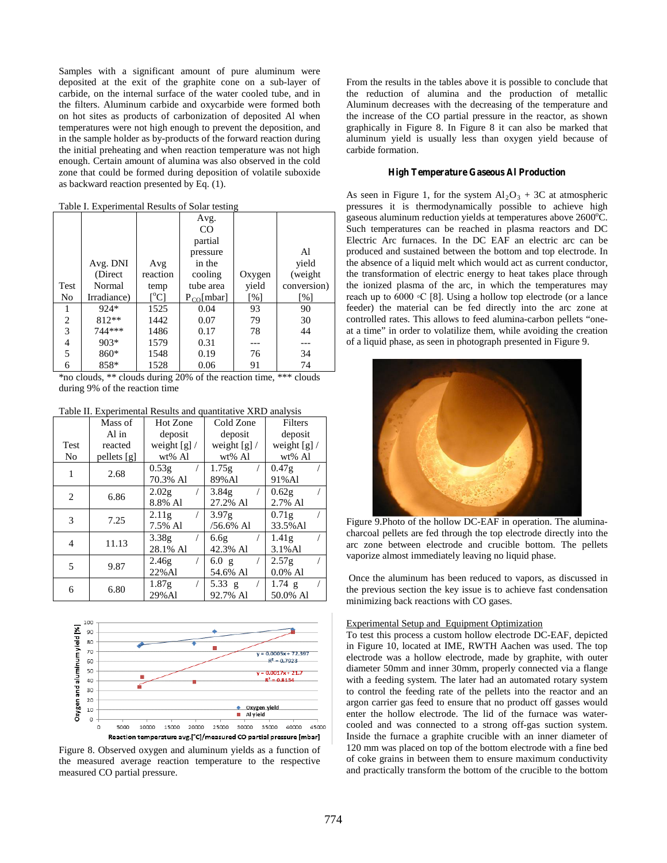Samples with a significant amount of pure aluminum were deposited at the exit of the graphite cone on a sub-layer of carbide, on the internal surface of the water cooled tube, and in the filters. Aluminum carbide and oxycarbide were formed both on hot sites as products of carbonization of deposited Al when temperatures were not high enough to prevent the deposition, and in the sample holder as by-products of the forward reaction during the initial preheating and when reaction temperature was not high enough. Certain amount of alumina was also observed in the cold zone that could be formed during deposition of volatile suboxide as backward reaction presented by Eq. (1).

Table I. Experimental Results of Solar testing

|                |             |               | Avg.            |        |                   |
|----------------|-------------|---------------|-----------------|--------|-------------------|
|                |             |               | CO              |        |                   |
|                |             |               | partial         |        |                   |
|                |             |               | pressure        |        | Al                |
|                | Avg. DNI    | Avg           | in the          |        | yield             |
|                | (Direct     | reaction      | cooling         | Oxygen | (weight)          |
| Test           | Normal      | temp          | tube area       | yield  | conversion)       |
| No             | Irradiance) | $[^{\circ}C]$ | $P_{CO}$ [mbar] | [%]    | $\lceil\% \rceil$ |
| 1              | $924*$      | 1525          | 0.04            | 93     | 90                |
| $\overline{c}$ | 812**       | 1442          | 0.07            | 79     | 30                |
| $\overline{3}$ | 744***      | 1486          | 0.17            | 78     | 44                |
| 4              | $903*$      | 1579          | 0.31            |        |                   |
| 5              | 860*        | 1548          | 0.19            | 76     | 34                |
| 6              | 858*        | 1528          | 0.06            | 91     | 74                |

\*no clouds, \*\* clouds during 20% of the reaction time, \*\*\* clouds during 9% of the reaction time

Table II. Experimental Results and quantitative XRD analysis

|      | Mass of     | Hot Zone          | Cold Zone     | Filters        |
|------|-------------|-------------------|---------------|----------------|
|      | Al in       | deposit           | deposit       | deposit        |
| Test | reacted     | weight $[g]/$     | weight $[g]/$ | weight $[g]$ / |
| No   | pellets [g] | wt% Al            | wt% Al        | wt% Al         |
| 1    | 2.68        | 0.53g             | 1.75g         | 0.47g          |
|      |             | 70.3% Al          | 89% Al        | 91%Al          |
| 2    | 6.86        | 2.02 <sub>g</sub> | 3.84g         | 0.62g          |
|      |             | 8.8% Al           | 27.2% Al      | 2.7% Al        |
| 3    | 7.25        | 2.11g             | 3.97g         | 0.71g          |
|      |             | 7.5% Al           | $/56.6\%$ Al  | 33.5% Al       |
| 4    | 11.13       | 3.38g             | 6.6g          | 1.41g          |
|      |             | 28.1% Al          | 42.3% Al      | $3.1\%$ Al     |
| 5    | 9.87        | 2.46g             | 6.0 g         | 2.57g          |
|      |             | 22% Al            | 54.6% Al      | $0.0\%$ Al     |
| 6    | 6.80        | 1.87g             | 5.33 $g$      | $1.74$ g       |
|      |             | 29%Al             | 92.7% Al      | 50.0% Al       |



Figure 8. Observed oxygen and aluminum yields as a function of the measured average reaction temperature to the respective measured CO partial pressure.

From the results in the tables above it is possible to conclude that the reduction of alumina and the production of metallic Aluminum decreases with the decreasing of the temperature and the increase of the CO partial pressure in the reactor, as shown graphically in Figure 8. In Figure 8 it can also be marked that aluminum yield is usually less than oxygen yield because of carbide formation.

# **High Temperature Gaseous Al Production**

As seen in Figure 1, for the system  $Al_2O_3 + 3C$  at atmospheric pressures it is thermodynamically possible to achieve high gaseous aluminum reduction yields at temperatures above  $2600^{\circ}$ C. Such temperatures can be reached in plasma reactors and DC Electric Arc furnaces. In the DC EAF an electric arc can be produced and sustained between the bottom and top electrode. In the absence of a liquid melt which would act as current conductor, the transformation of electric energy to heat takes place through the ionized plasma of the arc, in which the temperatures may reach up to 6000 ◦C [8]. Using a hollow top electrode (or a lance feeder) the material can be fed directly into the arc zone at controlled rates. This allows to feed alumina-carbon pellets "oneat a time" in order to volatilize them, while avoiding the creation of a liquid phase, as seen in photograph presented in Figure 9.



Figure 9.Photo of the hollow DC-EAF in operation. The aluminacharcoal pellets are fed through the top electrode directly into the arc zone between electrode and crucible bottom. The pellets vaporize almost immediately leaving no liquid phase.

Once the aluminum has been reduced to vapors, as discussed in the previous section the key issue is to achieve fast condensation minimizing back reactions with CO gases.

# Experimental Setup and Equipment Optimization

To test this process a custom hollow electrode DC-EAF, depicted in Figure 10, located at IME, RWTH Aachen was used. The top electrode was a hollow electrode, made by graphite, with outer diameter 50mm and inner 30mm, properly connected via a flange with a feeding system. The later had an automated rotary system to control the feeding rate of the pellets into the reactor and an argon carrier gas feed to ensure that no product off gasses would enter the hollow electrode. The lid of the furnace was watercooled and was connected to a strong off-gas suction system. Inside the furnace a graphite crucible with an inner diameter of 120 mm was placed on top of the bottom electrode with a fine bed of coke grains in between them to ensure maximum conductivity and practically transform the bottom of the crucible to the bottom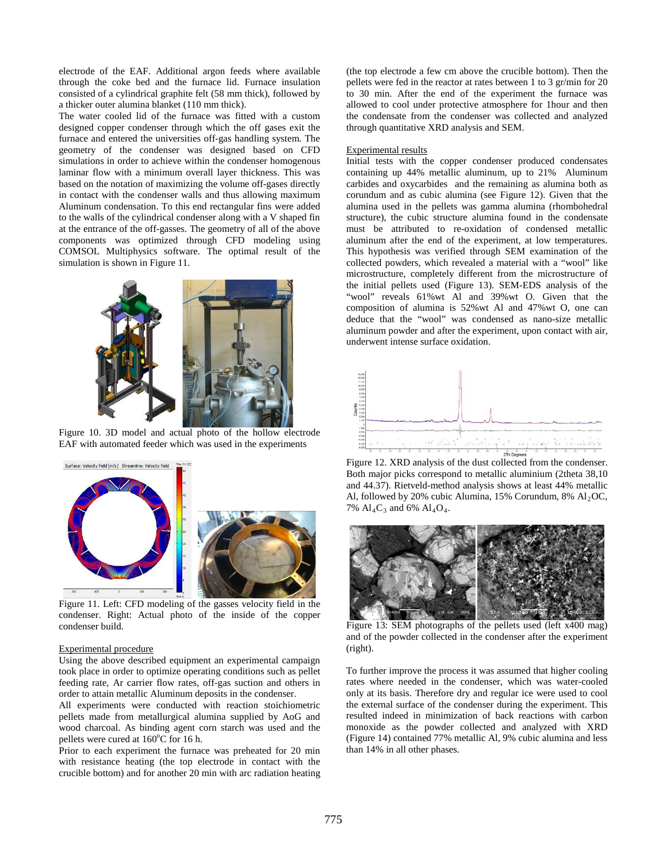electrode of the EAF. Additional argon feeds where available through the coke bed and the furnace lid. Furnace insulation consisted of a cylindrical graphite felt (58 mm thick), followed by a thicker outer alumina blanket (110 mm thick).

The water cooled lid of the furnace was fitted with a custom designed copper condenser through which the off gases exit the furnace and entered the universities off-gas handling system. The geometry of the condenser was designed based on CFD simulations in order to achieve within the condenser homogenous laminar flow with a minimum overall layer thickness. This was based on the notation of maximizing the volume off-gases directly in contact with the condenser walls and thus allowing maximum Aluminum condensation. To this end rectangular fins were added to the walls of the cylindrical condenser along with a V shaped fin at the entrance of the off-gasses. The geometry of all of the above components was optimized through CFD modeling using COMSOL Multiphysics software. The optimal result of the simulation is shown in Figure 11.



Figure 10. 3D model and actual photo of the hollow electrode EAF with automated feeder which was used in the experiments



 Figure 11. Left: CFD modeling of the gasses velocity field in the condenser. Right: Actual photo of the inside of the copper condenser build.

#### Experimental procedure

Using the above described equipment an experimental campaign took place in order to optimize operating conditions such as pellet feeding rate, Ar carrier flow rates, off-gas suction and others in order to attain metallic Aluminum deposits in the condenser.

All experiments were conducted with reaction stoichiometric pellets made from metallurgical alumina supplied by AoG and wood charcoal. As binding agent corn starch was used and the pellets were cured at  $160^{\circ}$ C for 16 h.

Prior to each experiment the furnace was preheated for 20 min with resistance heating (the top electrode in contact with the crucible bottom) and for another 20 min with arc radiation heating

(the top electrode a few cm above the crucible bottom). Then the pellets were fed in the reactor at rates between 1 to 3 gr/min for 20 to 30 min. After the end of the experiment the furnace was allowed to cool under protective atmosphere for 1hour and then the condensate from the condenser was collected and analyzed through quantitative XRD analysis and SEM.

## Experimental results

Initial tests with the copper condenser produced condensates containing up 44% metallic aluminum, up to 21% Aluminum carbides and oxycarbides and the remaining as alumina both as corundum and as cubic alumina (see Figure 12). Given that the alumina used in the pellets was gamma alumina (rhombohedral structure), the cubic structure alumina found in the condensate must be attributed to re-oxidation of condensed metallic aluminum after the end of the experiment, at low temperatures. This hypothesis was verified through SEM examination of the collected powders, which revealed a material with a "wool" like microstructure, completely different from the microstructure of the initial pellets used (Figure 13). SEM-EDS analysis of the "wool" reveals 61%wt Al and 39%wt O. Given that the composition of alumina is 52%wt Al and 47%wt O, one can deduce that the "wool" was condensed as nano-size metallic aluminum powder and after the experiment, upon contact with air, underwent intense surface oxidation.



Both major picks correspond to metallic aluminium (2theta 38,10 and 44.37). Rietveld-method analysis shows at least 44% metallic Al, followed by 20% cubic Alumina, 15% Corundum, 8%  $Al<sub>2</sub>OC$ , 7%  $Al_4C_3$  and 6%  $Al_4O_4$ .



Figure 13: SEM photographs of the pellets used (left x400 mag) and of the powder collected in the condenser after the experiment (right).

To further improve the process it was assumed that higher cooling rates where needed in the condenser, which was water-cooled only at its basis. Therefore dry and regular ice were used to cool the external surface of the condenser during the experiment. This resulted indeed in minimization of back reactions with carbon monoxide as the powder collected and analyzed with XRD (Figure 14) contained 77% metallic Al, 9% cubic alumina and less than 14% in all other phases.